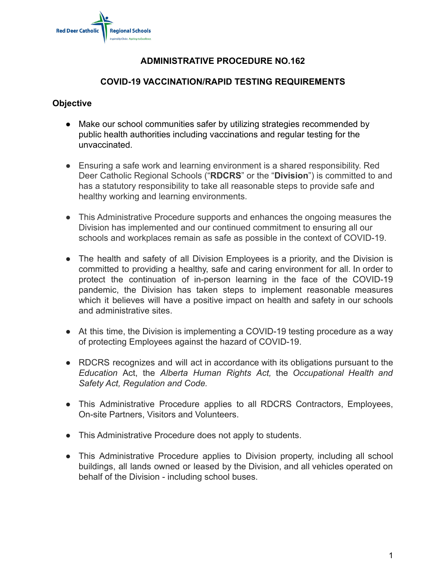

## **ADMINISTRATIVE PROCEDURE NO.162**

### **COVID-19 VACCINATION/RAPID TESTING REQUIREMENTS**

#### **Objective**

- Make our school communities safer by utilizing strategies recommended by public health authorities including vaccinations and regular testing for the unvaccinated.
- Ensuring a safe work and learning environment is a shared responsibility. Red Deer Catholic Regional Schools ("**RDCRS**" or the "**Division**") is committed to and has a statutory responsibility to take all reasonable steps to provide safe and healthy working and learning environments.
- This Administrative Procedure supports and enhances the ongoing measures the Division has implemented and our continued commitment to ensuring all our schools and workplaces remain as safe as possible in the context of COVID-19.
- The health and safety of all Division Employees is a priority, and the Division is committed to providing a healthy, safe and caring environment for all. In order to protect the continuation of in-person learning in the face of the COVID-19 pandemic, the Division has taken steps to implement reasonable measures which it believes will have a positive impact on health and safety in our schools and administrative sites.
- At this time, the Division is implementing a COVID-19 testing procedure as a way of protecting Employees against the hazard of COVID-19.
- RDCRS recognizes and will act in accordance with its obligations pursuant to the *Education* Act, the *Alberta Human Rights Act,* the *Occupational Health and Safety Act, Regulation and Code.*
- This Administrative Procedure applies to all RDCRS Contractors, Employees, On-site Partners, Visitors and Volunteers.
- This Administrative Procedure does not apply to students.
- This Administrative Procedure applies to Division property, including all school buildings, all lands owned or leased by the Division, and all vehicles operated on behalf of the Division - including school buses.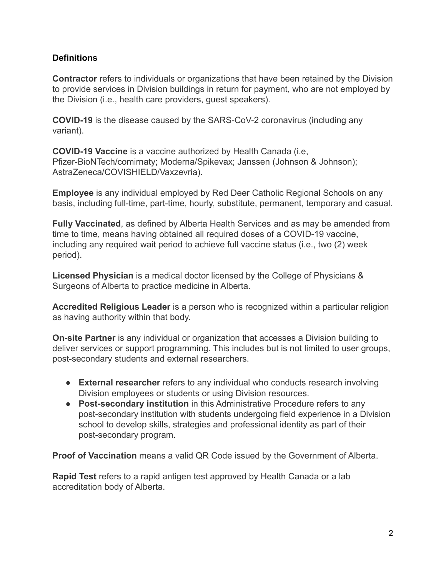## **Definitions**

**Contractor** refers to individuals or organizations that have been retained by the Division to provide services in Division buildings in return for payment, who are not employed by the Division (i.e., health care providers, guest speakers).

**COVID-19** is the disease caused by the SARS-CoV-2 coronavirus (including any variant).

**COVID-19 Vaccine** is a vaccine authorized by Health Canada (i.e, Pfizer-BioNTech/comirnaty; Moderna/Spikevax; Janssen (Johnson & Johnson); AstraZeneca/COVISHIELD/Vaxzevria).

**Employee** is any individual employed by Red Deer Catholic Regional Schools on any basis, including full-time, part-time, hourly, substitute, permanent, temporary and casual.

**Fully Vaccinated**, as defined by Alberta Health Services and as may be amended from time to time, means having obtained all required doses of a COVID-19 vaccine, including any required wait period to achieve full vaccine status (i.e., two (2) week period).

**Licensed Physician** is a medical doctor licensed by the College of Physicians & Surgeons of Alberta to practice medicine in Alberta.

**Accredited Religious Leader** is a person who is recognized within a particular religion as having authority within that body.

**On-site Partner** is any individual or organization that accesses a Division building to deliver services or support programming. This includes but is not limited to user groups, post-secondary students and external researchers.

- **External researcher** refers to any individual who conducts research involving Division employees or students or using Division resources.
- **Post-secondary institution** in this Administrative Procedure refers to any post-secondary institution with students undergoing field experience in a Division school to develop skills, strategies and professional identity as part of their post-secondary program.

**Proof of Vaccination** means a valid QR Code issued by the Government of Alberta.

**Rapid Test** refers to a rapid antigen test approved by Health Canada or a lab accreditation body of Alberta.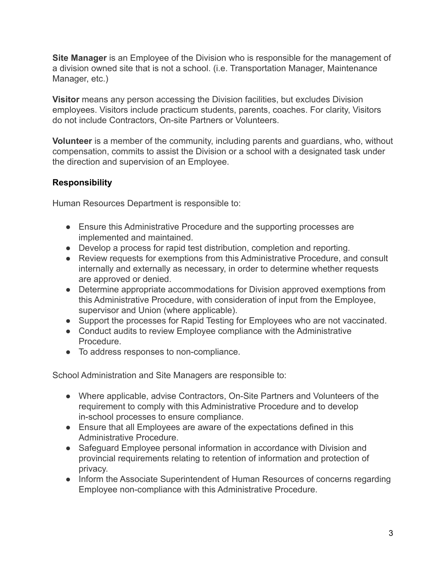**Site Manager** is an Employee of the Division who is responsible for the management of a division owned site that is not a school. (i.e. Transportation Manager, Maintenance Manager, etc.)

**Visitor** means any person accessing the Division facilities, but excludes Division employees. Visitors include practicum students, parents, coaches. For clarity, Visitors do not include Contractors, On-site Partners or Volunteers.

**Volunteer** is a member of the community, including parents and guardians, who, without compensation, commits to assist the Division or a school with a designated task under the direction and supervision of an Employee.

# **Responsibility**

Human Resources Department is responsible to:

- Ensure this Administrative Procedure and the supporting processes are implemented and maintained.
- Develop a process for rapid test distribution, completion and reporting.
- Review requests for exemptions from this Administrative Procedure, and consult internally and externally as necessary, in order to determine whether requests are approved or denied.
- Determine appropriate accommodations for Division approved exemptions from this Administrative Procedure, with consideration of input from the Employee, supervisor and Union (where applicable).
- Support the processes for Rapid Testing for Employees who are not vaccinated.
- Conduct audits to review Employee compliance with the Administrative Procedure.
- To address responses to non-compliance.

School Administration and Site Managers are responsible to:

- Where applicable, advise Contractors, On-Site Partners and Volunteers of the requirement to comply with this Administrative Procedure and to develop in-school processes to ensure compliance.
- Ensure that all Employees are aware of the expectations defined in this Administrative Procedure.
- Safeguard Employee personal information in accordance with Division and provincial requirements relating to retention of information and protection of privacy.
- Inform the Associate Superintendent of Human Resources of concerns regarding Employee non-compliance with this Administrative Procedure.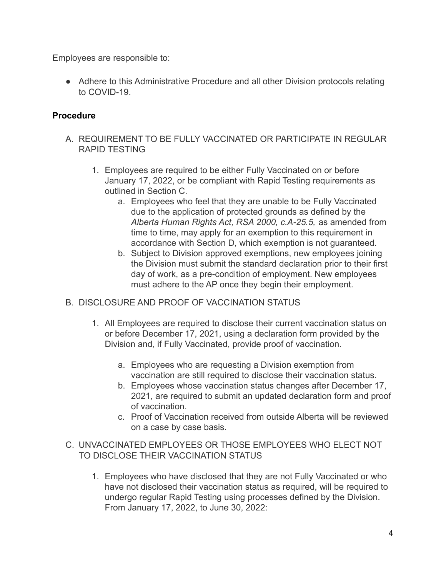Employees are responsible to:

● Adhere to this Administrative Procedure and all other Division protocols relating to COVID-19.

# **Procedure**

- A. REQUIREMENT TO BE FULLY VACCINATED OR PARTICIPATE IN REGULAR RAPID TESTING
	- 1. Employees are required to be either Fully Vaccinated on or before January 17, 2022, or be compliant with Rapid Testing requirements as outlined in Section C.
		- a. Employees who feel that they are unable to be Fully Vaccinated due to the application of protected grounds as defined by the *Alberta Human Rights Act, RSA 2000, c.A-25.5,* as amended from time to time, may apply for an exemption to this requirement in accordance with Section D, which exemption is not guaranteed.
		- b. Subject to Division approved exemptions, new employees joining the Division must submit the standard declaration prior to their first day of work, as a pre-condition of employment. New employees must adhere to the AP once they begin their employment.
- B. DISCLOSURE AND PROOF OF VACCINATION STATUS.
	- 1. All Employees are required to disclose their current vaccination status on or before December 17, 2021, using a declaration form provided by the Division and, if Fully Vaccinated, provide proof of vaccination.
		- a. Employees who are requesting a Division exemption from vaccination are still required to disclose their vaccination status.
		- b. Employees whose vaccination status changes after December 17, 2021, are required to submit an updated declaration form and proof of vaccination.
		- c. Proof of Vaccination received from outside Alberta will be reviewed on a case by case basis.
- C. UNVACCINATED EMPLOYEES OR THOSE EMPLOYEES WHO ELECT NOT TO DISCLOSE THEIR VACCINATION STATUS
	- 1. Employees who have disclosed that they are not Fully Vaccinated or who have not disclosed their vaccination status as required, will be required to undergo regular Rapid Testing using processes defined by the Division. From January 17, 2022, to June 30, 2022: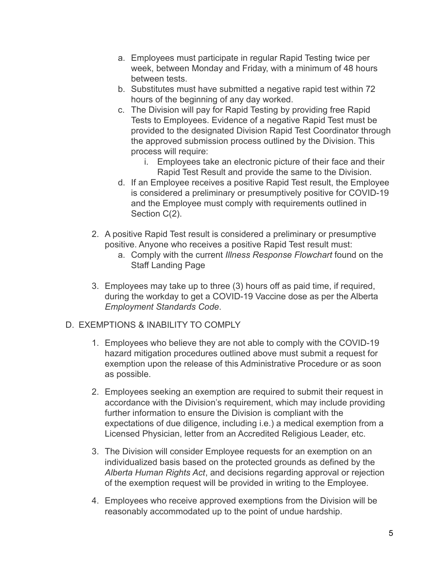- a. Employees must participate in regular Rapid Testing twice per week, between Monday and Friday, with a minimum of 48 hours between tests.
- b. Substitutes must have submitted a negative rapid test within 72 hours of the beginning of any day worked.
- c. The Division will pay for Rapid Testing by providing free Rapid Tests to Employees. Evidence of a negative Rapid Test must be provided to the designated Division Rapid Test Coordinator through the approved submission process outlined by the Division. This process will require:
	- i. Employees take an electronic picture of their face and their Rapid Test Result and provide the same to the Division.
- d. If an Employee receives a positive Rapid Test result, the Employee is considered a preliminary or presumptively positive for COVID-19 and the Employee must comply with requirements outlined in Section C(2).
- 2. A positive Rapid Test result is considered a preliminary or presumptive positive. Anyone who receives a positive Rapid Test result must:
	- a. Comply with the current *Illness Response Flowchart* found on the Staff Landing Page
- 3. Employees may take up to three (3) hours off as paid time, if required, during the workday to get a COVID-19 Vaccine dose as per the Alberta *Employment Standards Code*.

### D. EXEMPTIONS & INABILITY TO COMPLY

- 1. Employees who believe they are not able to comply with the COVID-19 hazard mitigation procedures outlined above must submit a request for exemption upon the release of this Administrative Procedure or as soon as possible.
- 2. Employees seeking an exemption are required to submit their request in accordance with the Division's requirement, which may include providing further information to ensure the Division is compliant with the expectations of due diligence, including i.e.) a medical exemption from a Licensed Physician, letter from an Accredited Religious Leader, etc.
- 3. The Division will consider Employee requests for an exemption on an individualized basis based on the protected grounds as defined by the *Alberta Human Rights Act*, and decisions regarding approval or rejection of the exemption request will be provided in writing to the Employee.
- 4. Employees who receive approved exemptions from the Division will be reasonably accommodated up to the point of undue hardship.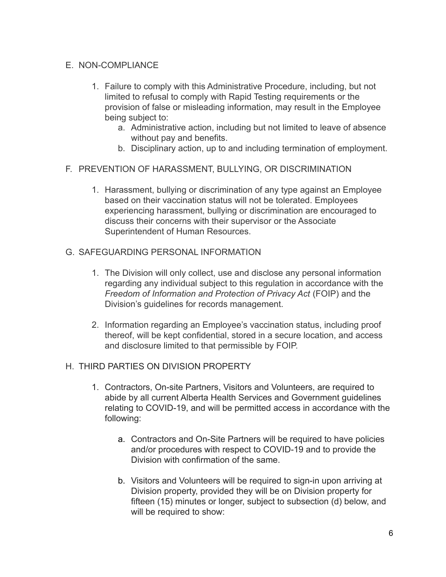#### E. NON-COMPLIANCE

- 1. Failure to comply with this Administrative Procedure, including, but not limited to refusal to comply with Rapid Testing requirements or the provision of false or misleading information, may result in the Employee being subject to:
	- a. Administrative action, including but not limited to leave of absence without pay and benefits.
	- b. Disciplinary action, up to and including termination of employment.

#### F. PREVENTION OF HARASSMENT, BULLYING, OR DISCRIMINATION

1. Harassment, bullying or discrimination of any type against an Employee based on their vaccination status will not be tolerated. Employees experiencing harassment, bullying or discrimination are encouraged to discuss their concerns with their supervisor or the Associate Superintendent of Human Resources.

#### G. SAFEGUARDING PERSONAL INFORMATION

- 1. The Division will only collect, use and disclose any personal information regarding any individual subject to this regulation in accordance with the *Freedom of Information and Protection of Privacy Act* (FOIP) and the Division's guidelines for records management.
- 2. Information regarding an Employee's vaccination status, including proof thereof, will be kept confidential, stored in a secure location, and access and disclosure limited to that permissible by FOIP.

### H. THIRD PARTIES ON DIVISION PROPERTY

- 1. Contractors, On-site Partners, Visitors and Volunteers, are required to abide by all current Alberta Health Services and Government guidelines relating to COVID-19, and will be permitted access in accordance with the following:
	- a. Contractors and On-Site Partners will be required to have policies and/or procedures with respect to COVID-19 and to provide the Division with confirmation of the same.
	- b. Visitors and Volunteers will be required to sign-in upon arriving at Division property, provided they will be on Division property for fifteen (15) minutes or longer, subject to subsection (d) below, and will be required to show: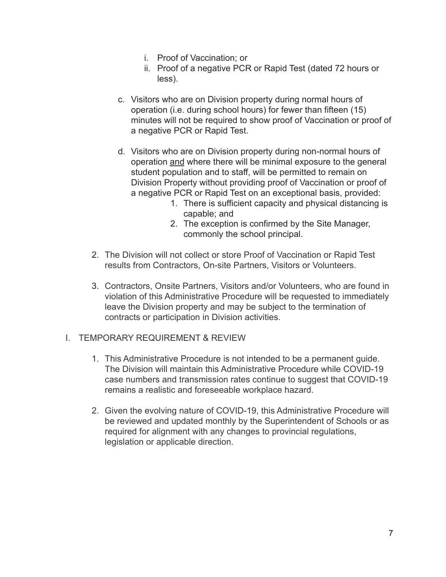- i. Proof of Vaccination; or
- ii. Proof of a negative PCR or Rapid Test (dated 72 hours or less).
- c. Visitors who are on Division property during normal hours of operation (i.e. during school hours) for fewer than fifteen (15) minutes will not be required to show proof of Vaccination or proof of a negative PCR or Rapid Test.
- d. Visitors who are on Division property during non-normal hours of operation and where there will be minimal exposure to the general student population and to staff, will be permitted to remain on Division Property without providing proof of Vaccination or proof of a negative PCR or Rapid Test on an exceptional basis, provided:
	- 1. There is sufficient capacity and physical distancing is capable; and
	- 2. The exception is confirmed by the Site Manager, commonly the school principal.
- 2. The Division will not collect or store Proof of Vaccination or Rapid Test results from Contractors, On-site Partners, Visitors or Volunteers.
- 3. Contractors, Onsite Partners, Visitors and/or Volunteers, who are found in violation of this Administrative Procedure will be requested to immediately leave the Division property and may be subject to the termination of contracts or participation in Division activities.
- I. TEMPORARY REQUIREMENT & REVIEW
	- 1. This Administrative Procedure is not intended to be a permanent guide. The Division will maintain this Administrative Procedure while COVID-19 case numbers and transmission rates continue to suggest that COVID-19 remains a realistic and foreseeable workplace hazard.
	- 2. Given the evolving nature of COVID-19, this Administrative Procedure will be reviewed and updated monthly by the Superintendent of Schools or as required for alignment with any changes to provincial regulations, legislation or applicable direction.